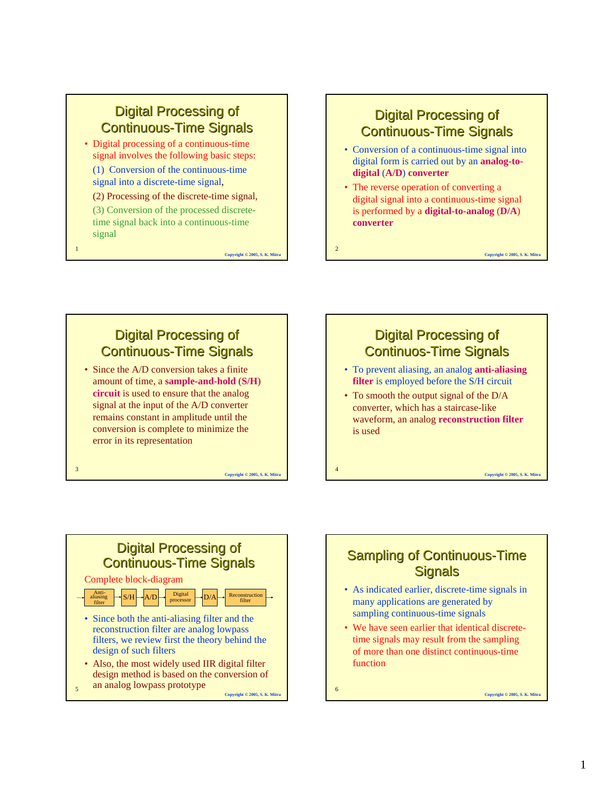## **Digital Processing of Continuous-Time Signals**

• Digital processing of a continuous-time signal involves the following basic steps:

(1) Conversion of the continuous-time signal into a discrete-time signal,

(2) Processing of the discrete-time signal,

(3) Conversion of the processed discretetime signal back into a continuous-time signal

1

3

5

**Copyright © 2005, S. K. Mitra**

## **Digital Processing of Continuous-Time Signals**

- Conversion of a continuous-time signal into digital form is carried out by an **analog-todigital** (**A/D**) **converter**
- The reverse operation of converting a digital signal into a continuous-time signal is performed by a **digital-to-analog** (**D/A**) **converter**

**Copyright © 2005, S. K. Mitra**

**Copyright © 2005, S. K. Mitra**

2

4

## **Digital Processing of Continuous-Time Signals** • Since the A/D conversion takes a finite

amount of time, a **sample-and-hold** (**S/H**) **circuit** is used to ensure that the analog signal at the input of the A/D converter remains constant in amplitude until the conversion is complete to minimize the error in its representation

**Copyright © 2005, S. K. Mitra**





- Also, the most widely used IIR digital filter design method is based on the conversion of an analog lowpass prototype
	- **Copyright © 2005, S. K. Mitra**

## **Sampling of Continuous-Time Signals**

- As indicated earlier, discrete-time signals in many applications are generated by sampling continuous-time signals
- We have seen earlier that identical discretetime signals may result from the sampling of more than one distinct continuous-time function

6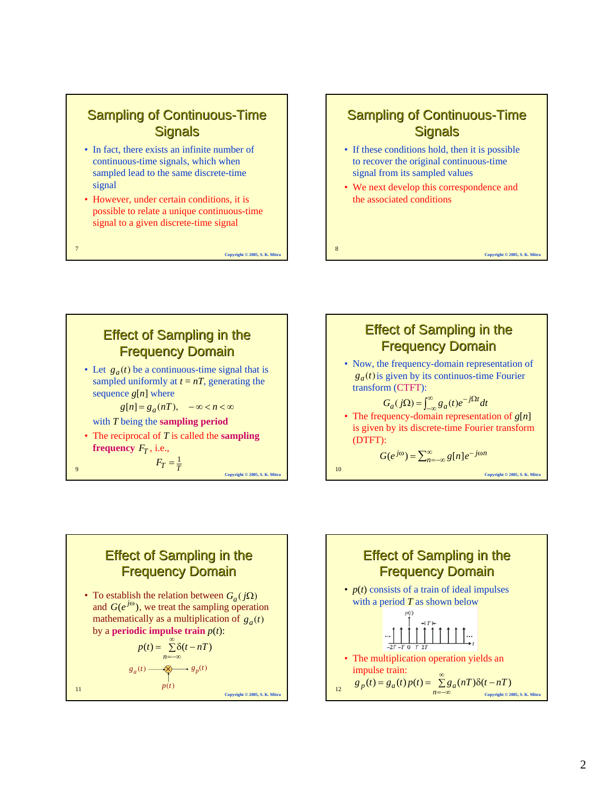#### **Sampling of Continuous-Time Signals**

- In fact, there exists an infinite number of continuous-time signals, which when sampled lead to the same discrete-time signal
- However, under certain conditions, it is possible to relate a unique continuous-time signal to a given discrete-time signal

7

11

**Copyright © 2005, S. K. Mitra**

8

### **Sampling of Continuous-Time Signals**

- If these conditions hold, then it is possible to recover the original continuous-time signal from its sampled values
- We next develop this correspondence and the associated conditions

**Copyright © 2005, S. K. Mitra**

9 **Copyright © 2005, S. K. Mitra Effect of Sampling in the Frequency Domain** • Let  $g_a(t)$  be a continuous-time signal that is sampled uniformly at  $t = nT$ , generating the sequence  $g[n]$  where with *T* being the **sampling period** • The reciprocal of *T* is called the **sampling**  frequency  $F_T$ , i.e.,  $g[n] = g_a(nT), -\infty < n < \infty$  $F_T = \frac{1}{T}$ 



## **Effect of Sampling in the Frequency Domain**

• To establish the relation between  $G_a(j\Omega)$ and  $G(e^{j\omega})$ , we treat the sampling operation mathematically as a multiplication of  $g_a(t)$ by a **periodic impulse train**  $p(t)$ :

$$
p(t) = \sum_{n = -\infty}^{\infty} \delta(t - nT)
$$
  
\n
$$
g_a(t) \xrightarrow{q \to \infty} g_p(t)
$$
  
\n
$$
p(t)
$$
  
\n
$$
g_{\text{over of } k, \text{ where } p \text{ is a positive number}
$$

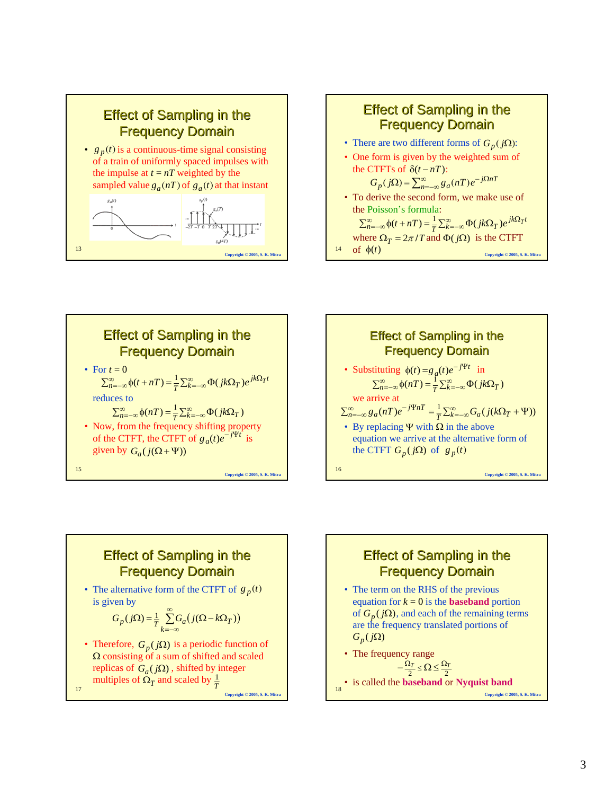







• The alternative form of the CTFT of  $g_p(t)$ is given by

$$
G_p(j\Omega) = \frac{1}{T} \sum_{k=-\infty}^{\infty} G_a(j(\Omega - k\Omega_T))
$$

17 • Therefore,  $G_p(j\Omega)$  is a periodic function of Ω consisting of a sum of shifted and scaled replicas of  $G_a(j\Omega)$ , shifted by integer multiples of  $\Omega_T$  and scaled by  $\frac{1}{T}$ 

**Copyright © 2005, S. K. Mitra**



18 • is called the **baseband** or **Nyquist band**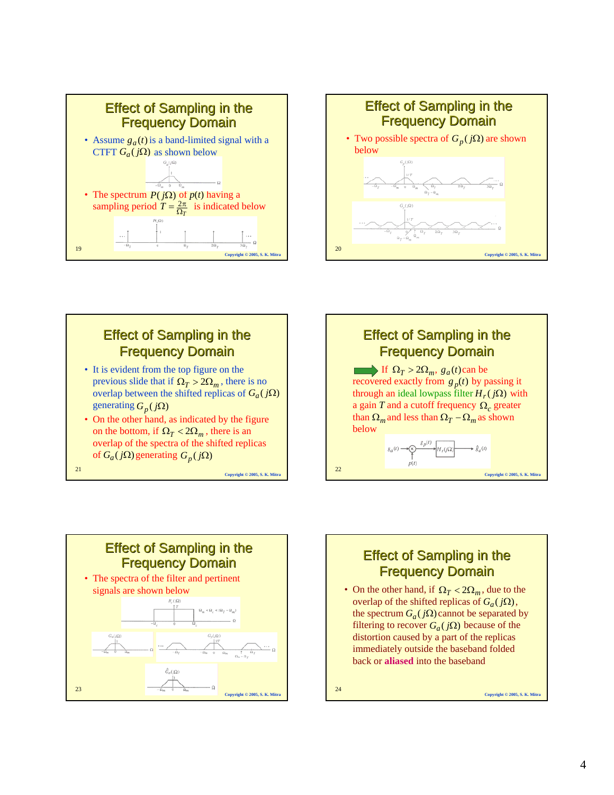



- It is evident from the top figure on the previous slide that if  $\Omega_T > 2\Omega_m$ , there is no overlap between the shifted replicas of  $G_a(j\Omega)$ generating  $G_p(j\Omega)$
- On the other hand, as indicated by the figure on the bottom, if  $\Omega_T < 2\Omega_m$ , there is an overlap of the spectra of the shifted replicas  $G_a(jΩ)$  generating  $G_p(jΩ)$

**Copyright © 2005, S. K. Mitra**

21





## **Effect of Sampling in the Frequency Domain**

• On the other hand, if  $\Omega_T < 2\Omega_m$ , due to the overlap of the shifted replicas of  $G_a(j\Omega)$ , the spectrum  $G_a(j\Omega)$  cannot be separated by filtering to recover  $G_a(j\Omega)$  because of the distortion caused by a part of the replicas immediately outside the baseband folded back or **aliased** into the baseband

24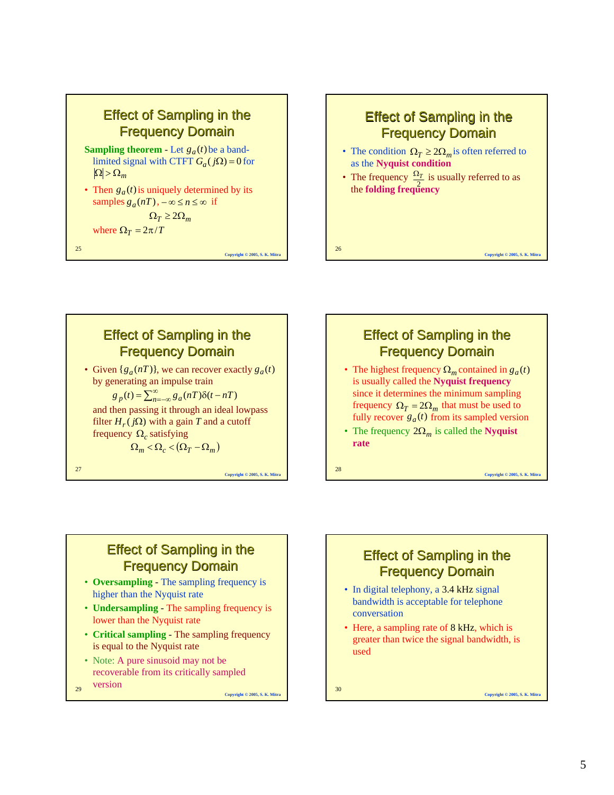



- The highest frequency  $\Omega_m$  contained in  $g_a(t)$ is usually called the **Nyquist frequency** since it determines the minimum sampling frequency  $\Omega_T = 2\Omega_m$  that must be used to fully recover  $g_a(t)$  from its sampled version
- The frequency  $2\Omega_m$  is called the **Nyquist rate**

28

#### **Effect of Sampling in the Frequency Domain**

- **Oversampling** The sampling frequency is higher than the Nyquist rate
- **Undersampling** The sampling frequency is lower than the Nyquist rate
- **Critical sampling** The sampling frequency is equal to the Nyquist rate
- Note: A pure sinusoid may not be recoverable from its critically sampled
- $29$ version  $\frac{1}{30}$

**Copyright © 2005, S. K. Mitra**

## **Effect of Sampling in the Frequency Domain**

- In digital telephony, a 3.4 kHz signal bandwidth is acceptable for telephone conversation
- Here, a sampling rate of 8 kHz, which is greater than twice the signal bandwidth, is used

**Copyright © 2005, S. K. Mitra**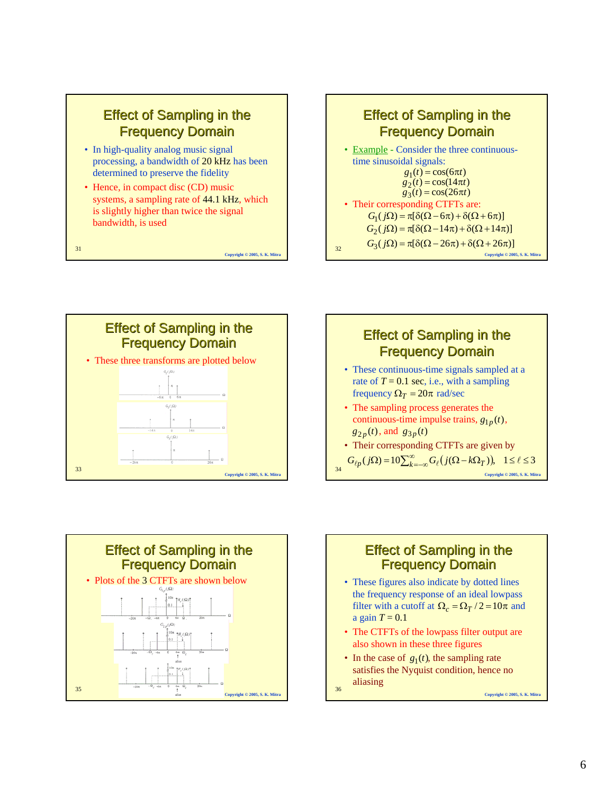

- In high-quality analog music signal processing, a bandwidth of 20 kHz has been determined to preserve the fidelity
- Hence, in compact disc (CD) music systems, a sampling rate of 44.1 kHz, which is slightly higher than twice the signal bandwidth, is used

**Copyright © 2005, S. K. Mitra**

31

32 **Copyright © 2005, S. K. Mitra Effect of Sampling in the Frequency Domain** • Example - Consider the three continuoustime sinusoidal signals: • Their corresponding CTFTs are:  $g_1(t) = \cos(6\pi t)$  $g_2(t) = \cos(14\pi t)$  $g_3(t) = \cos(26\pi t)$  $G_3(j\Omega) = \pi[\delta(\Omega - 26\pi) + \delta(\Omega + 26\pi)]$  $G_2(j\Omega) = \pi[\delta(\Omega - 14\pi) + \delta(\Omega + 14\pi)]$  $G_1(j\Omega) = \pi[\delta(\Omega - 6\pi) + \delta(\Omega + 6\pi)]$ 







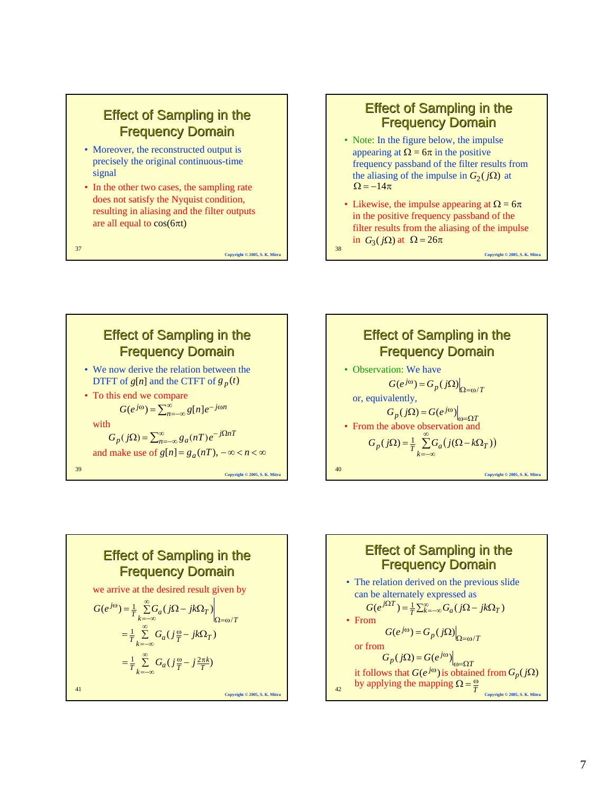- Moreover, the reconstructed output is precisely the original continuous-time signal
- In the other two cases, the sampling rate does not satisfy the Nyquist condition, resulting in aliasing and the filter outputs are all equal to  $cos(6\pi t)$

37

**Copyright © 2005, S. K. Mitra**

## **Effect of Sampling in the Frequency Domain**

- Note: In the figure below, the impulse appearing at  $\Omega = 6\pi$  in the positive frequency passband of the filter results from the aliasing of the impulse in  $G_2(j\Omega)$  at  $\Omega = -14\pi$
- Likewise, the impulse appearing at  $\Omega = 6\pi$ in the positive frequency passband of the filter results from the aliasing of the impulse in  $G_3(j\Omega)$  at  $\Omega = 26\pi$

**Copyright © 2005, S. K. Mitra**

38







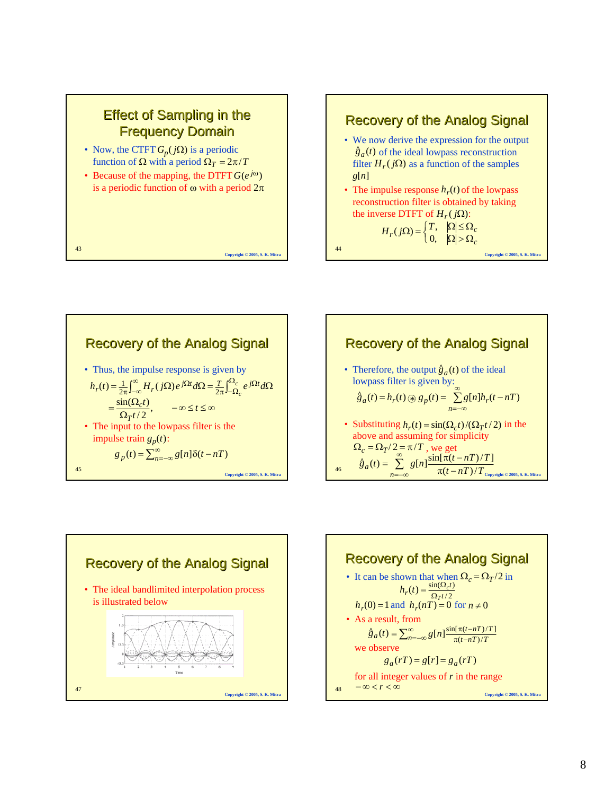









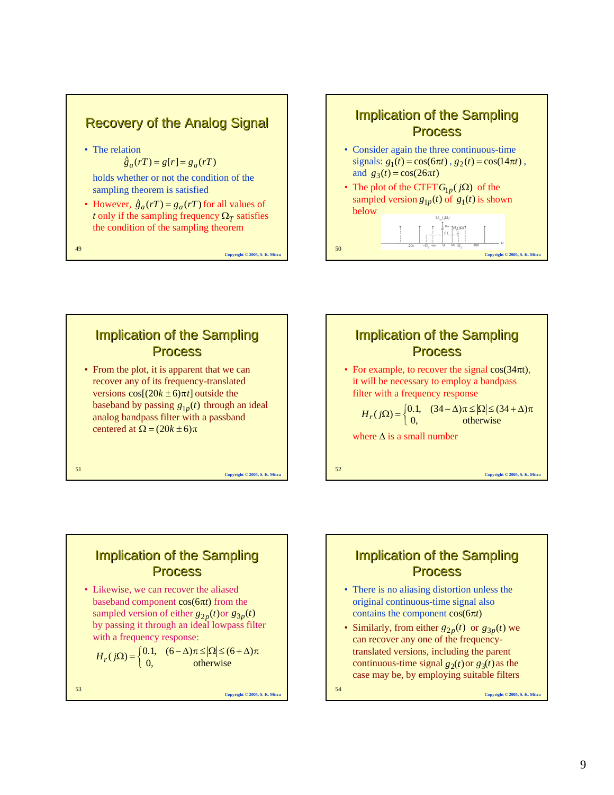#### **Recovery of the Analog Signal**

- The relation
	- $\int_{a}^{a} (rT) = g[r] = g_a(rT)$

holds whether or not the condition of the sampling theorem is satisfied

• However,  $\hat{g}_a(rT) = g_a(rT)$  for all values of *t* only if the sampling frequency  $\Omega_T$  satisfies the condition of the sampling theorem

**Copyright © 2005, S. K. Mitra**

**Copyright © 2005, S. K. Mitra**

**Copyright © 2005, S. K. Mitra**

49

#### **Implication of the Sampling Process**

- Consider again the three continuous-time  $\text{signals: } g_1(t) = \cos(6\pi t), g_2(t) = \cos(14\pi t),$ and  $g_3(t) = \cos(26\pi t)$
- The plot of the CTFT  $G_{1p}(j\Omega)$  of the sampled version  $g_{1p}(t)$  of  $g_1(t)$  is shown below





52 **Copyright © 2005, S. K. Mitra** Implication of the Sampling **Process** • For example, to recover the signal  $cos(34\pi t)$ , it will be necessary to employ a bandpass filter with a frequency response where  $\Delta$  is a small number  $H_r(j\Omega) = \begin{cases} 0.1, & (34 - \Delta)\pi \leq |\Omega| \leq (34 + \Delta)\pi \\ 0, & \text{otherwise} \end{cases}$ 

### **Implication of the Sampling Process**

• Likewise, we can recover the aliased baseband component cos(6π*t*) from the sampled version of either  $g_{2p}(t)$  or  $g_{3p}(t)$ by passing it through an ideal lowpass filter with a frequency response:

$$
H_r(j\Omega) = \begin{cases} 0.1, & (6 - \Delta)\pi \leq |\Omega| \leq (6 + \Delta)\pi \\ 0, & \text{otherwise} \end{cases}
$$

53

contains the component cos(6π*t*) • Similarly, from either  $g_{2p}(t)$  or  $g_{3p}(t)$  we

can recover any one of the frequencytranslated versions, including the parent continuous-time signal  $g_2(t)$  or  $g_3(t)$  as the case may be, by employing suitable filters

**Implication of the Sampling Process** 

• There is no aliasing distortion unless the original continuous-time signal also

 $54$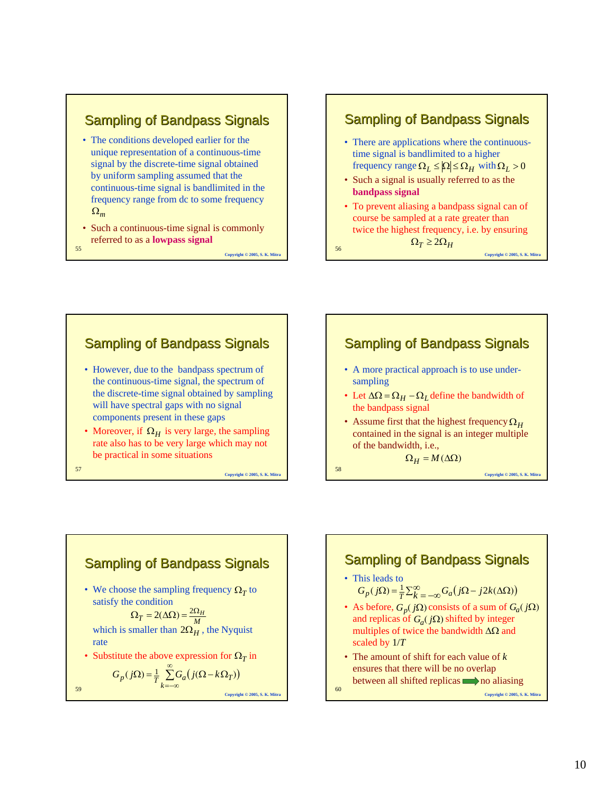### **Sampling of Bandpass Signals**

- The conditions developed earlier for the unique representation of a continuous-time signal by the discrete-time signal obtained by uniform sampling assumed that the continuous-time signal is bandlimited in the frequency range from dc to some frequency Ω*<sup>m</sup>*
- 55 Such a continuous-time signal is commonly referred to as a **lowpass signal**

**Copyright © 2005, S. K. Mitra**

#### Sampling of Bandpass Signals

- There are applications where the continuoustime signal is bandlimited to a higher frequency range  $\Omega_L \leq |\Omega| \leq \Omega_H$  with  $\Omega_L > 0$
- Such a signal is usually referred to as the **bandpass signal**
- To prevent aliasing a bandpass signal can of course be sampled at a rate greater than twice the highest frequency, i.e. by ensuring

 $\Omega_T \geq 2\Omega_H$ 

56

58

60

**Copyright © 2005, S. K. Mitra**

#### Sampling of Bandpass Signals • However, due to the bandpass spectrum of the continuous-time signal, the spectrum of the discrete-time signal obtained by sampling will have spectral gaps with no signal components present in these gaps • Moreover, if  $\Omega_H$  is very large, the sampling rate also has to be very large which may not be practical in some situations

57

59



• We choose the sampling frequency  $\Omega_T$  to satisfy the condition

which is smaller than  $2\Omega_H$ , the Nyquist rate  $\Omega_T = 2(\Delta \Omega) = \frac{2\Omega_H}{M}$ 

• Substitute the above expression for  $\Omega_T$  in  $\sum_{a}^{\infty} G_a ( j(\Omega - k\Omega_T) )$ 

=−∞

$$
G_p(j\Omega) = \frac{1}{T} \sum_{k=-\infty} G_a(j(\Omega - k\Omega_T))
$$

**Copyright © 2005, S. K. Mitra**

**Copyright © 2005, S. K. Mitra**

# **Sampling of Bandpass Signals**

- A more practical approach is to use undersampling
- Let  $\Delta \Omega = \Omega_H \Omega_L$  define the bandwidth of the bandpass signal
- Assume first that the highest frequency Ω<sub>*H*</sub> contained in the signal is an integer multiple of the bandwidth, i.e.,

 $Ω<sub>H</sub> = M(ΔΩ)$ 

**Copyright © 2005, S. K. Mitra**

## **Sampling of Bandpass Signals**

- This leads to  $G_p(j\Omega) = \frac{1}{T} \sum_{k=-\infty}^{\infty} G_a(j\Omega - j2k(\Delta \Omega))$
- As before,  $G_p(j\Omega)$  consists of a sum of  $G_a(j\Omega)$ and replicas of  $G_a(j\Omega)$  shifted by integer multiples of twice the bandwidth ∆Ω and scaled by 1/*T*
- The amount of shift for each value of *k* ensures that there will be no overlap between all shifted replicas  $\Box$  no aliasing